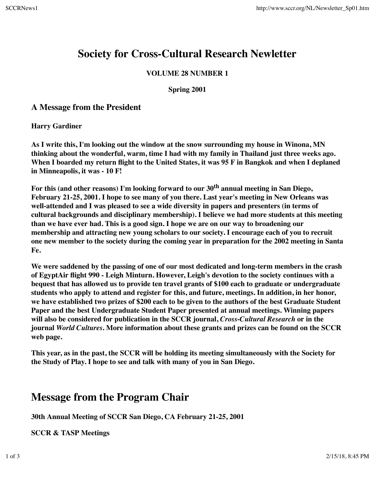# **Society for Cross-Cultural Research Newletter**

#### **VOLUME 28 NUMBER 1**

**Spring 2001**

### **A Message from the President**

**Harry Gardiner**

**As I write this, I'm looking out the window at the snow surrounding my house in Winona, MN thinking about the wonderful, warm, time I had with my family in Thailand just three weeks ago. When I boarded my return flight to the United States, it was 95 F in Bangkok and when I deplaned in Minneapolis, it was - 10 F!**

**For this (and other reasons) I'm looking forward to our 30th annual meeting in San Diego, February 21-25, 2001. I hope to see many of you there. Last year's meeting in New Orleans was well-attended and I was pleased to see a wide diversity in papers and presenters (in terms of cultural backgrounds and disciplinary membership). I believe we had more students at this meeting than we have ever had. This is a good sign. I hope we are on our way to broadening our membership and attracting new young scholars to our society. I encourage each of you to recruit one new member to the society during the coming year in preparation for the 2002 meeting in Santa Fe.**

**We were saddened by the passing of one of our most dedicated and long-term members in the crash of EgyptAir flight 990 - Leigh Minturn. However, Leigh's devotion to the society continues with a bequest that has allowed us to provide ten travel grants of \$100 each to graduate or undergraduate students who apply to attend and register for this, and future, meetings. In addition, in her honor, we have established two prizes of \$200 each to be given to the authors of the best Graduate Student Paper and the best Undergraduate Student Paper presented at annual meetings. Winning papers will also be considered for publication in the SCCR journal,** *Cross-Cultural Research* **or in the journal** *World Cultures***. More information about these grants and prizes can be found on the SCCR web page.**

**This year, as in the past, the SCCR will be holding its meeting simultaneously with the Society for the Study of Play. I hope to see and talk with many of you in San Diego.**

# **Message from the Program Chair**

**30th Annual Meeting of SCCR San Diego, CA February 21-25, 2001**

**SCCR & TASP Meetings**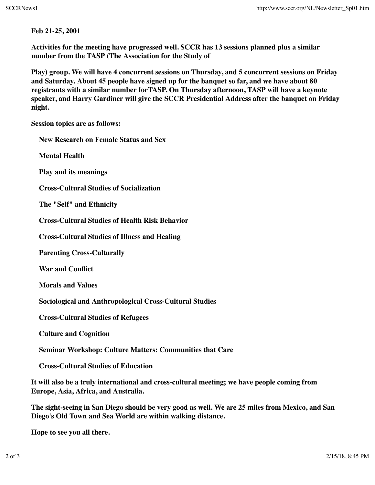**Feb 21-25, 2001**

**Activities for the meeting have progressed well. SCCR has 13 sessions planned plus a similar number from the TASP (The Association for the Study of**

**Play) group. We will have 4 concurrent sessions on Thursday, and 5 concurrent sessions on Friday and Saturday. About 45 people have signed up for the banquet so far, and we have about 80 registrants with a similar number forTASP. On Thursday afternoon, TASP will have a keynote speaker, and Harry Gardiner will give the SCCR Presidential Address after the banquet on Friday night.**

**Session topics are as follows:**

**New Research on Female Status and Sex Mental Health Play and its meanings Cross-Cultural Studies of Socialization The "Self" and Ethnicity Cross-Cultural Studies of Health Risk Behavior Cross-Cultural Studies of Illness and Healing Parenting Cross-Culturally War and Conflict Morals and Values Sociological and Anthropological Cross-Cultural Studies Cross-Cultural Studies of Refugees Culture and Cognition Seminar Workshop: Culture Matters: Communities that Care Cross-Cultural Studies of Education It will also be a truly international and cross-cultural meeting; we have people coming from Europe, Asia, Africa, and Australia.**

**The sight-seeing in San Diego should be very good as well. We are 25 miles from Mexico, and San Diego's Old Town and Sea World are within walking distance.**

**Hope to see you all there.**